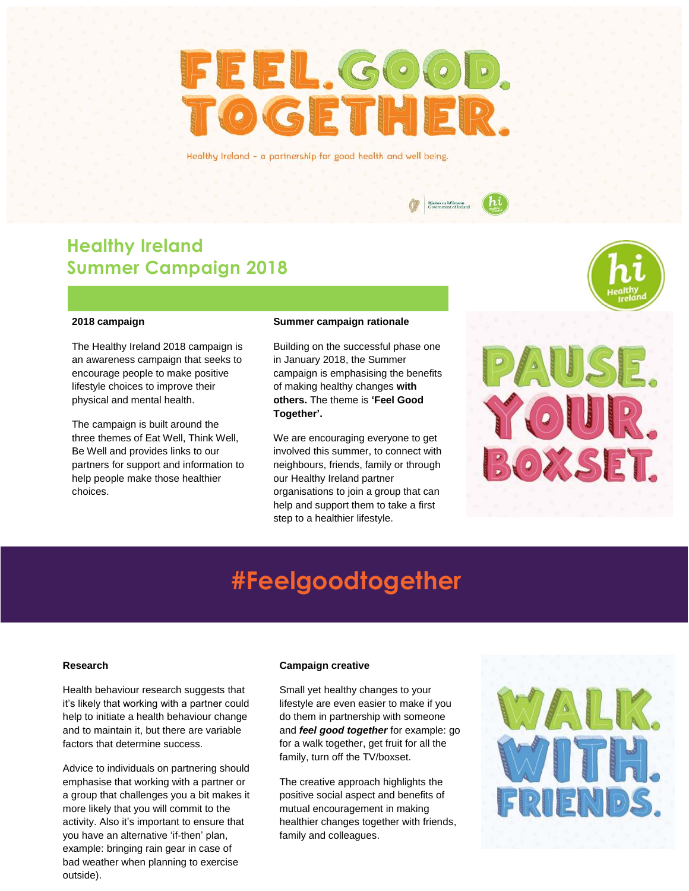# FEEL.GOOD. **OGETHER.**

Healthy Ireland - a partnership for good health and well being.

## **Healthy Ireland Summer Campaign 2018**

#### **2018 campaign**

The Healthy Ireland 2018 campaign is an awareness campaign that seeks to encourage people to make positive lifestyle choices to improve their physical and mental health.

The campaign is built around the three themes of Eat Well, Think Well, Be Well and provides links to our partners for support and information to help people make those healthier choices.

#### **Summer campaign rationale**

Building on the successful phase one in January 2018, the Summer campaign is emphasising the benefits of making healthy changes **with others.** The theme is **'Feel Good Together'.**

We are encouraging everyone to get involved this summer, to connect with neighbours, friends, family or through our Healthy Ireland partner organisations to join a group that can help and support them to take a first step to a healthier lifestyle.



## **#Feelgoodtogether**

#### **Research**

Health behaviour research suggests that it's likely that working with a partner could help to initiate a health behaviour change and to maintain it, but there are variable factors that determine success.

Advice to individuals on partnering should emphasise that working with a partner or a group that challenges you a bit makes it more likely that you will commit to the activity. Also it's important to ensure that you have an alternative 'if-then' plan, example: bringing rain gear in case of bad weather when planning to exercise outside).

#### **Campaign creative**

Small yet healthy changes to your lifestyle are even easier to make if you do them in partnership with someone and *feel good together* for example: go for a walk together, get fruit for all the family, turn off the TV/boxset.

The creative approach highlights the positive social aspect and benefits of mutual encouragement in making healthier changes together with friends, family and colleagues.